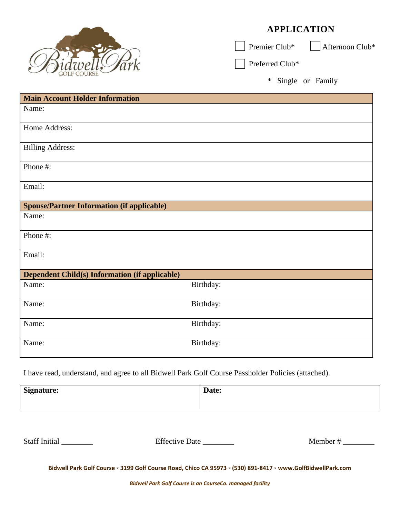

### **APPLICATION**

Premier Club\* **Afternoon Club**\*

Preferred Club\*

\* Single or Family

| <b>Main Account Holder Information</b>                |           |  |  |  |
|-------------------------------------------------------|-----------|--|--|--|
| Name:                                                 |           |  |  |  |
| Home Address:                                         |           |  |  |  |
| <b>Billing Address:</b>                               |           |  |  |  |
| Phone #:                                              |           |  |  |  |
| Email:                                                |           |  |  |  |
| <b>Spouse/Partner Information (if applicable)</b>     |           |  |  |  |
| Name:                                                 |           |  |  |  |
| Phone #:                                              |           |  |  |  |
| Email:                                                |           |  |  |  |
| <b>Dependent Child(s) Information (if applicable)</b> |           |  |  |  |
| Name:                                                 | Birthday: |  |  |  |
| Name:                                                 | Birthday: |  |  |  |
| Name:                                                 | Birthday: |  |  |  |
| Name:                                                 | Birthday: |  |  |  |

I have read, understand, and agree to all Bidwell Park Golf Course Passholder Policies (attached).

| <b>Signature:</b> | Date: |
|-------------------|-------|
|                   |       |

Staff Initial \_\_\_\_\_\_\_\_\_ Effective Date \_\_\_\_\_\_\_ Member # \_\_\_\_\_\_\_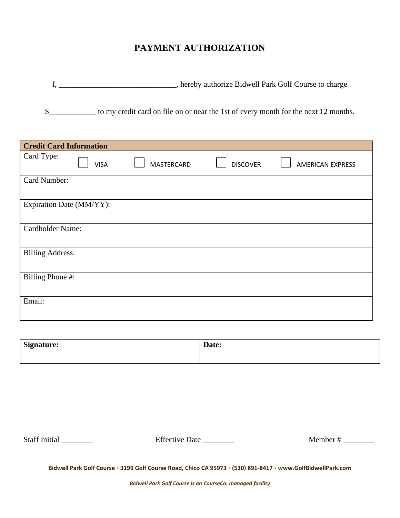# **PAYMENT AUTHORIZATION**

I, \_\_\_\_\_\_\_\_\_\_\_\_\_\_\_\_\_\_\_\_\_\_\_\_\_\_\_\_\_\_, hereby authorize Bidwell Park Golf Course to charge

\$\_\_\_\_\_\_\_\_\_\_\_\_ to my credit card on file on or near the 1st of every month for the next 12 months.

| <b>Credit Card Information</b> |             |            |                 |                         |
|--------------------------------|-------------|------------|-----------------|-------------------------|
| Card Type:                     | <b>VISA</b> | MASTERCARD | <b>DISCOVER</b> | <b>AMERICAN EXPRESS</b> |
| Card Number:                   |             |            |                 |                         |
| Expiration Date (MM/YY):       |             |            |                 |                         |
| Cardholder Name:               |             |            |                 |                         |
| <b>Billing Address:</b>        |             |            |                 |                         |
| Billing Phone #:               |             |            |                 |                         |
| Email:                         |             |            |                 |                         |

| <b>Signature:</b> | Date: |
|-------------------|-------|
|                   |       |

| <b>Staff Initial</b> |  |
|----------------------|--|
|                      |  |

Staff Initial \_\_\_\_\_\_\_\_ Effective Date \_\_\_\_\_\_\_\_ Member # \_\_\_\_\_\_\_\_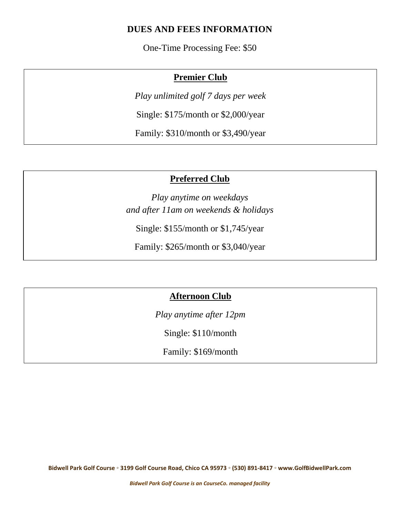### **DUES AND FEES INFORMATION**

One-Time Processing Fee: \$50

## **Premier Club**

*Play unlimited golf 7 days per week*

Single: \$175/month or \$2,000/year

Family: \$310/month or \$3,490/year

### **Preferred Club**

*Play anytime on weekdays and after 11am on weekends & holidays*

Single: \$155/month or \$1,745/year

Family: \$265/month or \$3,040/year

### **Afternoon Club**

*Play anytime after 12pm*

Single: \$110/month

Family: \$169/month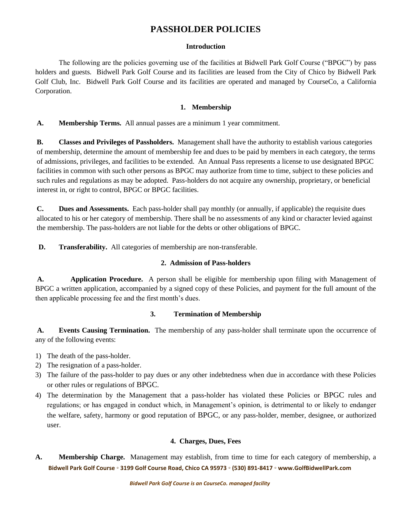## **PASSHOLDER POLICIES**

#### **Introduction**

The following are the policies governing use of the facilities at Bidwell Park Golf Course ("BPGC") by pass holders and guests. Bidwell Park Golf Course and its facilities are leased from the City of Chico by Bidwell Park Golf Club, Inc. Bidwell Park Golf Course and its facilities are operated and managed by CourseCo, a California Corporation.

#### **1. Membership**

**A. Membership Terms.** All annual passes are a minimum 1 year commitment.

**B. Classes and Privileges of Passholders.** Management shall have the authority to establish various categories of membership, determine the amount of membership fee and dues to be paid by members in each category, the terms of admissions, privileges, and facilities to be extended. An Annual Pass represents a license to use designated BPGC facilities in common with such other persons as BPGC may authorize from time to time, subject to these policies and such rules and regulations as may be adopted. Pass-holders do not acquire any ownership, proprietary, or beneficial interest in, or right to control, BPGC or BPGC facilities.

**C. Dues and Assessments.** Each pass-holder shall pay monthly (or annually, if applicable) the requisite dues allocated to his or her category of membership. There shall be no assessments of any kind or character levied against the membership. The pass-holders are not liable for the debts or other obligations of BPGC.

**D. Transferability.** All categories of membership are non-transferable.

#### **2. Admission of Pass-holders**

**A. Application Procedure.** A person shall be eligible for membership upon filing with Management of BPGC a written application, accompanied by a signed copy of these Policies, and payment for the full amount of the then applicable processing fee and the first month's dues.

#### **3. Termination of Membership**

**A. Events Causing Termination.** The membership of any pass-holder shall terminate upon the occurrence of any of the following events:

- 1) The death of the pass-holder.
- 2) The resignation of a pass-holder.
- 3) The failure of the pass-holder to pay dues or any other indebtedness when due in accordance with these Policies or other rules or regulations of BPGC.
- 4) The determination by the Management that a pass-holder has violated these Policies or BPGC rules and regulations; or has engaged in conduct which, in Management's opinion, is detrimental to or likely to endanger the welfare, safety, harmony or good reputation of BPGC, or any pass-holder, member, designee, or authorized user.

#### **4. Charges, Dues, Fees**

**Bidwell Park Golf Course ◦ 3199 Golf Course Road, Chico CA 95973 ◦ (530) 891-8417 ◦ www.GolfBidwellPark.com A. Membership Charge.** Management may establish, from time to time for each category of membership, a